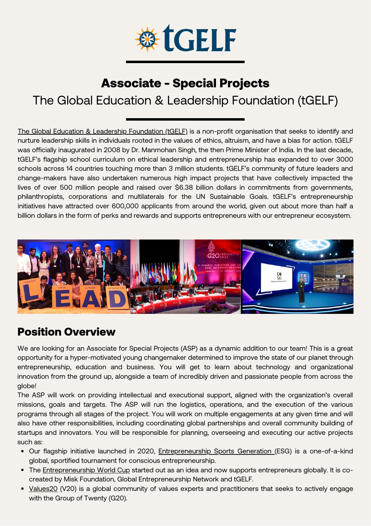

# Associate - Special Projects

## The Global Education & Leadership Foundation (tGELF)

The Global Education & Leadership [Foundation](https://www.tgelf.org/) (tGELF) is a non-profit organisation that seeks to identify and nurture leadership skills in individuals rooted in the values of ethics, altruism, and have a bias for action. tGELF was officially inaugurated in 2008 by Dr. Manmohan Singh, the then Prime Minister of India. In the last decade, tGELF's flagship school curriculum on ethical leadership and entrepreneurship has expanded to over 3000 schools across 14 countries touching more than 3 million students. tGELF's community of future leaders and change-makers have also undertaken numerous high impact projects that have collectively impacted the lives of over 500 million people and raised over \$6.38 billion dollars in commitments from governments, philanthropists, corporations and multilaterals for the UN Sustainable Goals. tGELF's entrepreneurship initiatives have attracted over 600,000 applicants from around the world, given out about more than half a billion dollars in the form of perks and rewards and supports entrepreneurs with our entrepreneur ecosystem.



#### Position Overview

We are looking for an Associate for Special Projects (ASP) as a dynamic addition to our team! This is a great opportunity for a hyper-motivated young changemaker determined to improve the state of our planet through entrepreneurship, education and business. You will get to learn about technology and organizational innovation from the ground up, alongside a team of incredibly driven and passionate people from across the globe!

The ASP will work on providing intellectual and executional support, aligned with the organization's overall missions, goals and targets. The ASP will run the logistics, operations, and the execution of the various programs through all stages of the project. You will work on multiple engagements at any given time and will also have other responsibilities, including coordinating global partnerships and overall community building of startups and innovators. You will be responsible for planning, overseeing and executing our active projects such as:

- **•** Our flagship initiative launched in 2020, [Entrepreneurship](https://www.esgx.global/) Sports Generation (ESG) is a one-of-a-kind global, sportified tournament for conscious entrepreneurship.
- The [Entrepreneurship](https://entrepreneurshipworldcup.com/) World Cup started out as an idea and now supports entrepreneurs globally. It is cocreated by Misk Foundation, Global Entrepreneurship Network and tGELF.
- [Values20](https://www.values20.org/) (V20) is a global community of values experts and practitioners that seeks to actively engage with the Group of Twenty (G20).